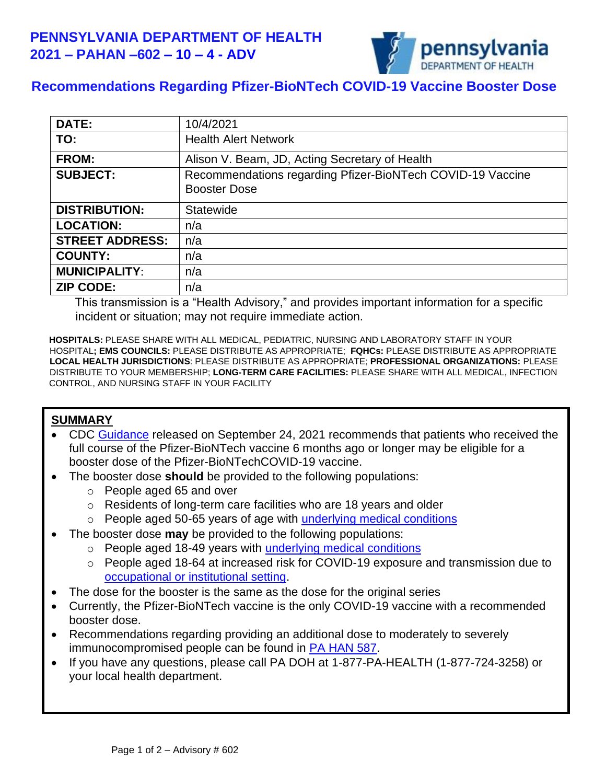

## **Recommendations Regarding Pfizer-BioNTech COVID-19 Vaccine Booster Dose**

| <b>DATE:</b>           | 10/4/2021                                                                         |
|------------------------|-----------------------------------------------------------------------------------|
| TO:                    | <b>Health Alert Network</b>                                                       |
| <b>FROM:</b>           | Alison V. Beam, JD, Acting Secretary of Health                                    |
| <b>SUBJECT:</b>        | Recommendations regarding Pfizer-BioNTech COVID-19 Vaccine<br><b>Booster Dose</b> |
| <b>DISTRIBUTION:</b>   | <b>Statewide</b>                                                                  |
| <b>LOCATION:</b>       | n/a                                                                               |
| <b>STREET ADDRESS:</b> | n/a                                                                               |
| <b>COUNTY:</b>         | n/a                                                                               |
| <b>MUNICIPALITY:</b>   | n/a                                                                               |
| <b>ZIP CODE:</b>       | n/a                                                                               |

This transmission is a "Health Advisory," and provides important information for a specific incident or situation; may not require immediate action.

**HOSPITALS:** PLEASE SHARE WITH ALL MEDICAL, PEDIATRIC, NURSING AND LABORATORY STAFF IN YOUR HOSPITAL**; EMS COUNCILS:** PLEASE DISTRIBUTE AS APPROPRIATE; **FQHCs:** PLEASE DISTRIBUTE AS APPROPRIATE **LOCAL HEALTH JURISDICTIONS**: PLEASE DISTRIBUTE AS APPROPRIATE; **PROFESSIONAL ORGANIZATIONS:** PLEASE DISTRIBUTE TO YOUR MEMBERSHIP; **LONG-TERM CARE FACILITIES:** PLEASE SHARE WITH ALL MEDICAL, INFECTION CONTROL, AND NURSING STAFF IN YOUR FACILITY

## **SUMMARY**

- CDC [Guidance](https://www.cdc.gov/coronavirus/2019-ncov/vaccines/booster-shot.html) released on September 24, 2021 recommends that patients who received the full course of the Pfizer-BioNTech vaccine 6 months ago or longer may be eligible for a booster dose of the Pfizer-BioNTechCOVID-19 vaccine.
- The booster dose **should** be provided to the following populations:
	- o People aged 65 and over
	- o Residents of long-term care facilities who are 18 years and older
	- o People aged 50-65 years of age with [underlying medical conditions](https://www.cdc.gov/coronavirus/2019-ncov/need-extra-precautions/people-with-medical-conditions.html)
- The booster dose **may** be provided to the following populations:
	- o People aged 18-49 years with [underlying medical conditions](https://www.cdc.gov/coronavirus/2019-ncov/need-extra-precautions/people-with-medical-conditions.html)
	- o People aged 18-64 at increased risk for COVID-19 exposure and transmission due to [occupational or institutional setting.](https://www.cdc.gov/coronavirus/2019-ncov/vaccines/booster-shot.html)
- The dose for the booster is the same as the dose for the original series
- Currently, the Pfizer-BioNTech vaccine is the only COVID-19 vaccine with a recommended booster dose.
- Recommendations regarding providing an additional dose to moderately to severely immunocompromised people can be found in [PA HAN 587.](https://www.health.pa.gov/topics/Documents/HAN/2021-587-8-17-ADV-COVID%20vaccine.pdf)
- If you have any questions, please call PA DOH at 1-877-PA-HEALTH (1-877-724-3258) or your local health department.